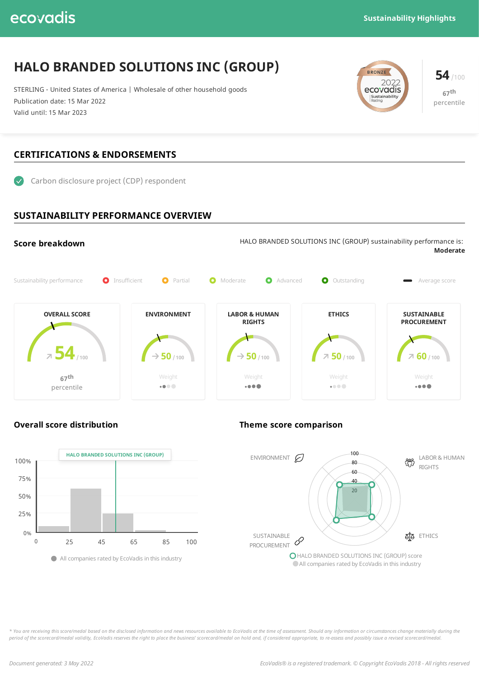## ecovadis

# **HALO BRANDED SOLUTIONS INC (GROUP)**

STERLING - United States of America | Wholesale of other household goods Publication date: 15 Mar 2022 Valid until: 15 Mar 2023





### **CERTIFICATIONS & ENDORSEMENTS**



### **SUSTAINABILITY PERFORMANCE OVERVIEW**





### **Overall score distribution Theme score comparison**



\* You are receiving this score/medal based on the disclosed information and news resources available to EcoVadis at the time of assessment. Should any information or circumstances change materially during the period of the scorecard/medal validity, EcoVadis reserves the right to place the business' scorecard/medal on hold and, if considered appropriate, to re-assess and possibly issue a revised scorecard/medal.